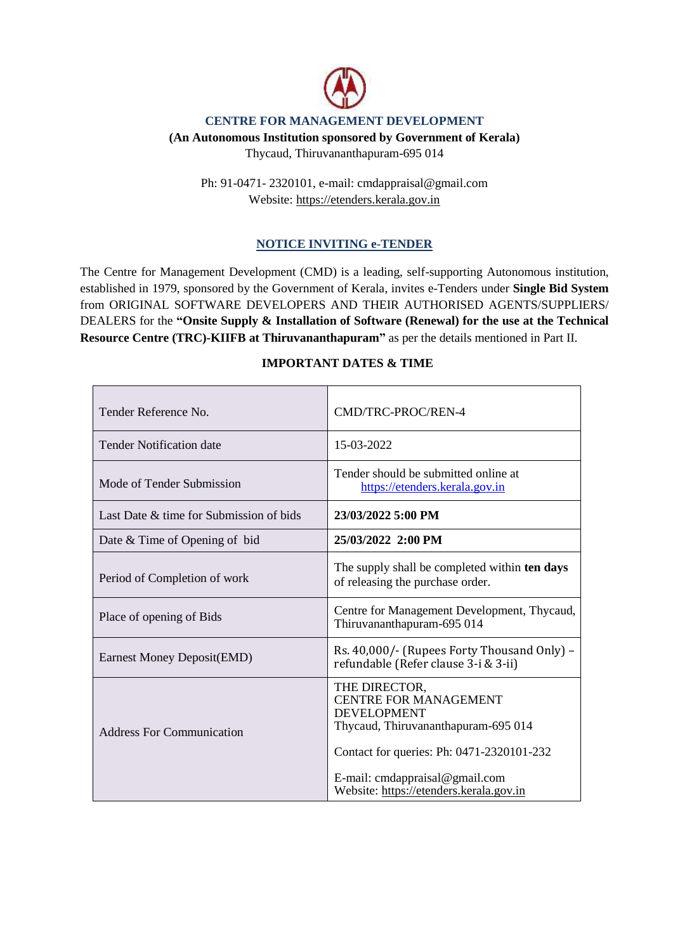

#### **CENTRE FOR MANAGEMENT DEVELOPMENT**

#### **(An Autonomous Institution sponsored by Government of Kerala)**

Thycaud, Thiruvananthapuram-695 014

Ph: 91-0471- 2320101, e-mail: cmdappraisal@gmail.com Website: https://etenders.kerala.gov.in

### **NOTICE INVITING e-TENDER**

The Centre for Management Development (CMD) is a leading, self-supporting Autonomous institution, established in 1979, sponsored by the Government of Kerala, invites e-Tenders under **Single Bid System** from ORIGINAL SOFTWARE DEVELOPERS AND THEIR AUTHORISED AGENTS/SUPPLIERS/ DEALERS for the **"Onsite Supply & Installation of Software (Renewal) for the use at the Technical Resource Centre (TRC)-KIIFB at Thiruvananthapuram"** as per the details mentioned in Part II.

#### **IMPORTANT DATES & TIME**

| Tender Reference No.                    | CMD/TRC-PROC/REN-4                                                                                                                                                                        |  |
|-----------------------------------------|-------------------------------------------------------------------------------------------------------------------------------------------------------------------------------------------|--|
| <b>Tender Notification date</b>         | 15-03-2022                                                                                                                                                                                |  |
| Mode of Tender Submission               | Tender should be submitted online at<br>https://etenders.kerala.gov.in                                                                                                                    |  |
| Last Date & time for Submission of bids | 23/03/2022 5:00 PM                                                                                                                                                                        |  |
| Date & Time of Opening of bid           | 25/03/2022 2:00 PM                                                                                                                                                                        |  |
| Period of Completion of work            | The supply shall be completed within ten days<br>of releasing the purchase order.                                                                                                         |  |
| Place of opening of Bids                | Centre for Management Development, Thycaud,<br>Thiruvananthapuram-695 014                                                                                                                 |  |
| Earnest Money Deposit(EMD)              | Rs. 40,000/- (Rupees Forty Thousand Only) –<br>refundable (Refer clause 3-i & 3-ii)                                                                                                       |  |
| <b>Address For Communication</b>        | THE DIRECTOR,<br><b>CENTRE FOR MANAGEMENT</b><br><b>DEVELOPMENT</b><br>Thycaud, Thiruvananthapuram-695 014<br>Contact for queries: Ph: 0471-2320101-232<br>E-mail: cmdappraisal@gmail.com |  |
|                                         | Website: https://etenders.kerala.gov.in                                                                                                                                                   |  |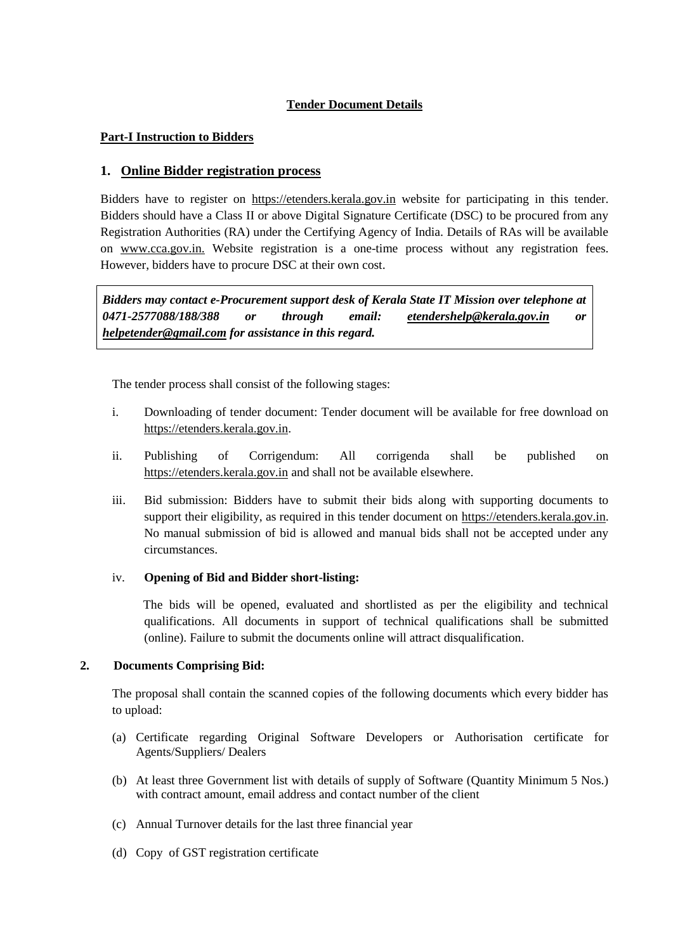## **Tender Document Details**

### **Part-I Instruction to Bidders**

## **1. Online Bidder registration process**

Bidders have to register on [https://etenders.kerala.gov.in](https://tenders.gov.ker.in/) website for participating in this tender. Bidders should have a Class II or above Digital Signature Certificate (DSC) to be procured from any Registration Authorities (RA) under the Certifying Agency of India. Details of RAs will be available on www.cca.gov.in. Website registration is a one-time process without any registration fees. However, bidders have to procure DSC at their own cost.

*Bidders may contact e-Procurement support desk of Kerala State IT Mission over telephone at 0471-2577088/188/388 or through email: [etendershelp@kerala.gov.in](mailto:etendershelp@kerala.gov.in) or [helpetender@gmail.com](mailto:helpetender@gmail.com) for assistance in this regard.*

The tender process shall consist of the following stages:

- i. Downloading of tender document: Tender document will be available for free download on [https://etenders.kerala.gov.in.](https://tenders.gov.ker.in/)
- ii. Publishing of Corrigendum: All corrigenda shall be published on [https://etenders.kerala.gov.in](https://tenders.gov.ker.in/) and shall not be available elsewhere.
- iii. Bid submission: Bidders have to submit their bids along with supporting documents to support their eligibility, as required in this tender document on [https://etenders.kerala.gov.in.](https://tenders.gov.ker.in/) No manual submission of bid is allowed and manual bids shall not be accepted under any circumstances.

### iv. **Opening of Bid and Bidder short-listing:**

 The bids will be opened, evaluated and shortlisted as per the eligibility and technical qualifications. All documents in support of technical qualifications shall be submitted (online). Failure to submit the documents online will attract disqualification.

### **2. Documents Comprising Bid:**

The proposal shall contain the scanned copies of the following documents which every bidder has to upload:

- (a) Certificate regarding Original Software Developers or Authorisation certificate for Agents/Suppliers/ Dealers
- (b) At least three Government list with details of supply of Software (Quantity Minimum 5 Nos.) with contract amount, email address and contact number of the client
- (c) Annual Turnover details for the last three financial year
- (d) Copy of GST registration certificate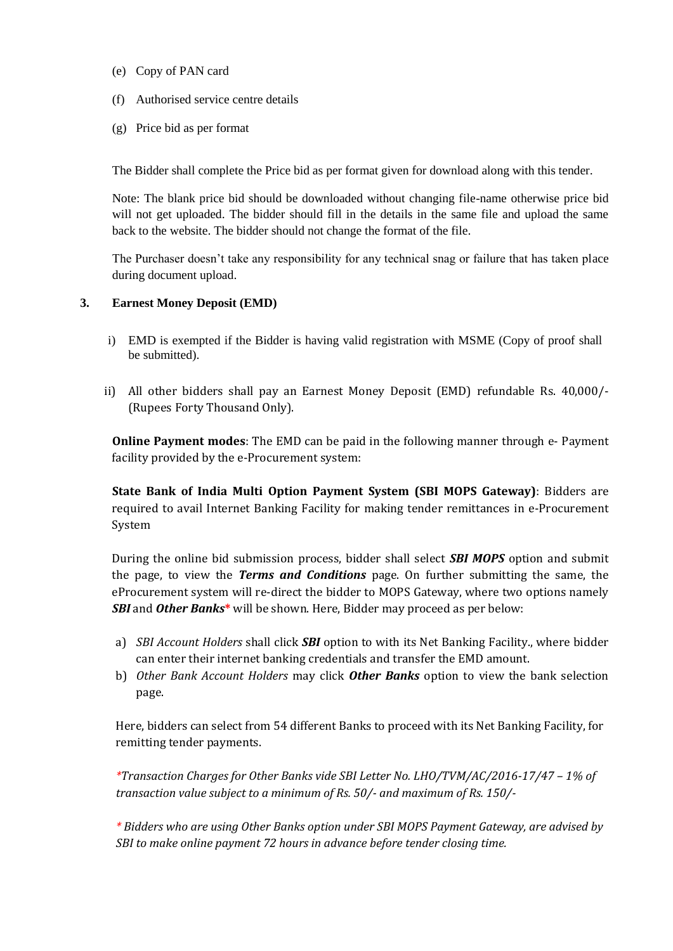- (e) Copy of PAN card
- (f) Authorised service centre details
- (g) Price bid as per format

The Bidder shall complete the Price bid as per format given for download along with this tender.

Note: The blank price bid should be downloaded without changing file-name otherwise price bid will not get uploaded. The bidder should fill in the details in the same file and upload the same back to the website. The bidder should not change the format of the file.

The Purchaser doesn't take any responsibility for any technical snag or failure that has taken place during document upload.

#### **3. Earnest Money Deposit (EMD)**

- i) EMD is exempted if the Bidder is having valid registration with MSME (Copy of proof shall be submitted).
- ii) All other bidders shall pay an Earnest Money Deposit (EMD) refundable Rs. 40,000/- (Rupees Forty Thousand Only).

**Online Payment modes**: The EMD can be paid in the following manner through e- Payment facility provided by the e-Procurement system:

**State Bank of India Multi Option Payment System (SBI MOPS Gateway)**: Bidders are required to avail Internet Banking Facility for making tender remittances in e-Procurement System

During the online bid submission process, bidder shall select *SBI MOPS* option and submit the page, to view the *Terms and Conditions* page. On further submitting the same, the eProcurement system will re-direct the bidder to MOPS Gateway, where two options namely *SBI* and *Other Banks***\*** will be shown. Here, Bidder may proceed as per below:

- a) *SBI Account Holders* shall click *SBI* option to with its Net Banking Facility., where bidder can enter their internet banking credentials and transfer the EMD amount.
- b) *Other Bank Account Holders* may click *Other Banks* option to view the bank selection page.

Here, bidders can select from 54 different Banks to proceed with its Net Banking Facility, for remitting tender payments.

*\*Transaction Charges for Other Banks vide SBI Letter No. LHO/TVM/AC/2016-17/47 – 1% of transaction value subject to a minimum of Rs. 50/- and maximum of Rs. 150/-*

*\* Bidders who are using Other Banks option under SBI MOPS Payment Gateway, are advised by SBI to make online payment 72 hours in advance before tender closing time.*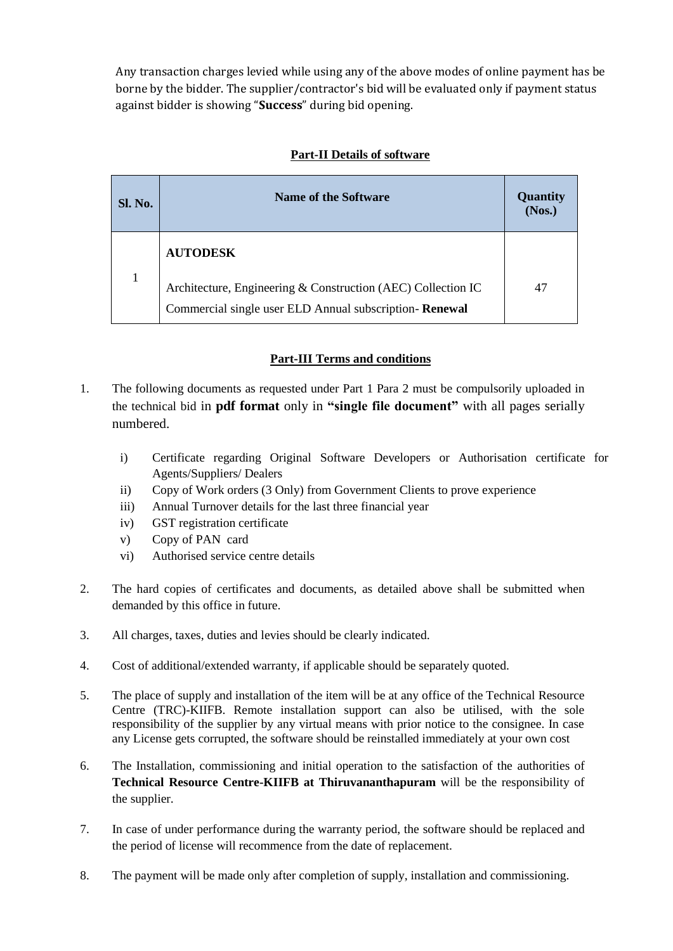Any transaction charges levied while using any of the above modes of online payment has be borne by the bidder. The supplier/contractor's bid will be evaluated only if payment status against bidder is showing "**Success**" during bid opening.

| Sl. No. | <b>Name of the Software</b>                                  | <b>Quantity</b><br>(Nos.) |
|---------|--------------------------------------------------------------|---------------------------|
|         | <b>AUTODESK</b>                                              |                           |
|         | Architecture, Engineering & Construction (AEC) Collection IC | 47                        |
|         | Commercial single user ELD Annual subscription-Renewal       |                           |

# **Part-II Details of software**

## **Part-III Terms and conditions**

- 1. The following documents as requested under Part 1 Para 2 must be compulsorily uploaded in the technical bid in **pdf format** only in **"single file document"** with all pages serially numbered.
	- i) Certificate regarding Original Software Developers or Authorisation certificate for Agents/Suppliers/ Dealers
	- ii) Copy of Work orders (3 Only) from Government Clients to prove experience
	- iii) Annual Turnover details for the last three financial year
	- iv) GST registration certificate
	- v) Copy of PAN card
	- vi) Authorised service centre details
- 2. The hard copies of certificates and documents, as detailed above shall be submitted when demanded by this office in future.
- 3. All charges, taxes, duties and levies should be clearly indicated.
- 4. Cost of additional/extended warranty, if applicable should be separately quoted.
- 5. The place of supply and installation of the item will be at any office of the Technical Resource Centre (TRC)-KIIFB. Remote installation support can also be utilised, with the sole responsibility of the supplier by any virtual means with prior notice to the consignee. In case any License gets corrupted, the software should be reinstalled immediately at your own cost
- 6. The Installation, commissioning and initial operation to the satisfaction of the authorities of **Technical Resource Centre-KIIFB at Thiruvananthapuram** will be the responsibility of the supplier.
- 7. In case of under performance during the warranty period, the software should be replaced and the period of license will recommence from the date of replacement.
- 8. The payment will be made only after completion of supply, installation and commissioning.